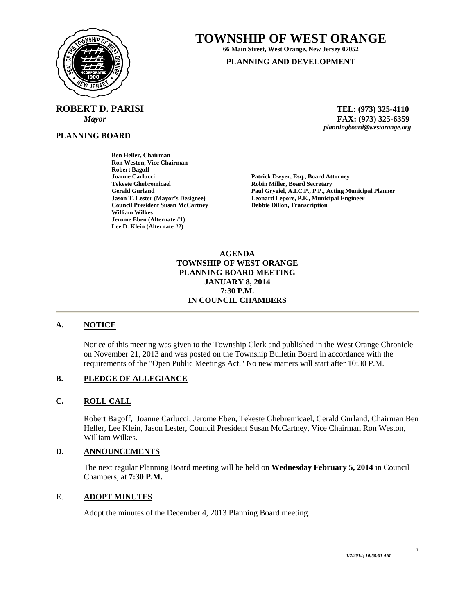

**ROBERT D. PARISI TEL: (973) 325-4110** 

**PLANNING BOARD**

# **TOWNSHIP OF WEST ORANGE**

**66 Main Street, West Orange, New Jersey 07052 PLANNING AND DEVELOPMENT**

 *Mayor* **FAX: (973) 325-6359** *planningboard@westorange.org* 

**Ben Heller, Chairman Ron Weston, Vice Chairman Robert Bagoff Tekeste Ghebremicael and Secretary Cerald Gurland Control Cerald Gurland Cerald Gurland Cerald Gurland Cerald Allen Access Cerald Allen Access Cerald Allen Access Cerald Allen Access Cerald Allen Access Cerald Allen Acces Council President Susan McCartney William Wilkes Jerome Eben (Alternate #1) Lee D. Klein (Alternate #2)** 

Patrick Dwyer, Esq., Board Attorney Gerald Gurland **Paul Grygiel, A.I.C.P., P.P., Acting Municipal Planner**<br> **Paul Grygiel, A.I.C.P., P.P., Acting Municipal Planner**<br> **Leonard Lepore, P.E., Municipal Engineer Leonard Lepore, P.E., Municipal Engineer Debbie Dillon, Transcription** 

> **AGENDA TOWNSHIP OF WEST ORANGE PLANNING BOARD MEETING JANUARY 8, 2014 7:30 P.M. IN COUNCIL CHAMBERS**

# **A. NOTICE**

Notice of this meeting was given to the Township Clerk and published in the West Orange Chronicle on November 21, 2013 and was posted on the Township Bulletin Board in accordance with the requirements of the "Open Public Meetings Act." No new matters will start after 10:30 P.M.

# **B. PLEDGE OF ALLEGIANCE**

# **C. ROLL CALL**

Robert Bagoff, Joanne Carlucci, Jerome Eben, Tekeste Ghebremicael, Gerald Gurland, Chairman Ben Heller, Lee Klein, Jason Lester, Council President Susan McCartney, Vice Chairman Ron Weston, William Wilkes.

# **D. ANNOUNCEMENTS**

The next regular Planning Board meeting will be held on **Wednesday February 5, 2014** in Council Chambers, at **7:30 P.M.** 

# **E**. **ADOPT MINUTES**

Adopt the minutes of the December 4, 2013 Planning Board meeting.